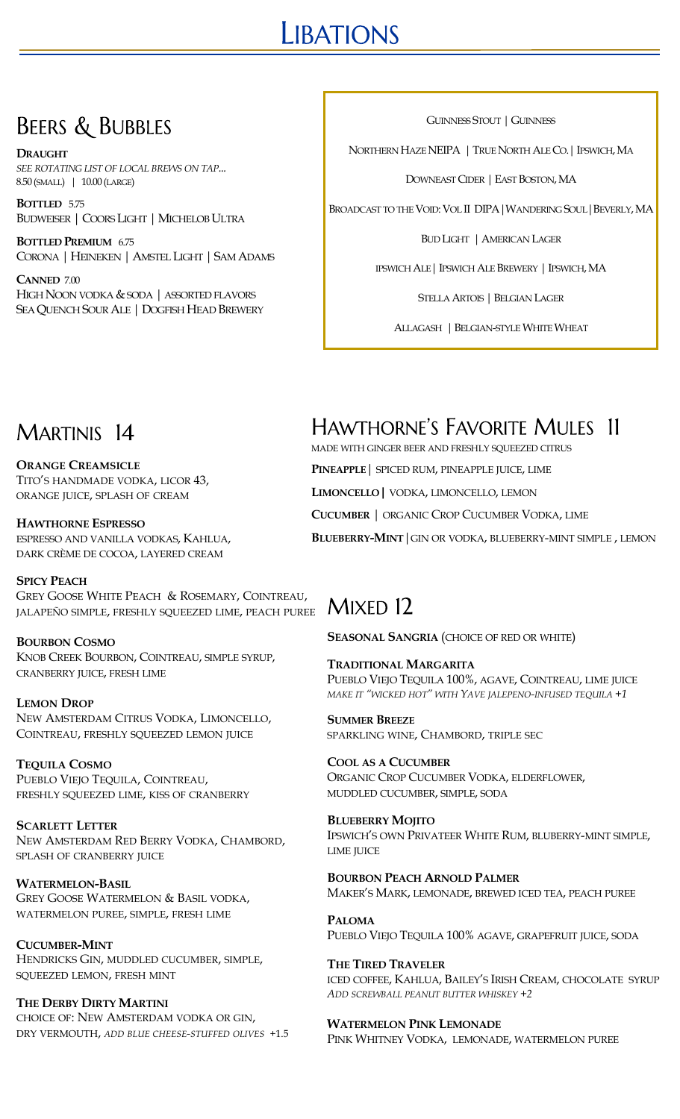# **LIBATIONS**

# **BEERS & BUBBLES**

**DRAUGHT**  *SEE ROTATING LIST OF LOCAL BREWS ON TAP...* 8.50 (SMALL) | 10.00 (LARGE)

**BOTTLED** 5.75 BUDWEISER | COORS LIGHT | MICHELOB ULTRA

**BOTTLED PREMIUM** 6.75 CORONA | HEINEKEN | AMSTEL LIGHT | SAM ADAMS

**CANNED** 7.00 HIGH NOON VODKA & SODA | ASSORTED FLAVORS SEAQUENCH SOURALE | DOGFISH HEAD BREWERY GUINNESS STOUT | GUINNESS

NORTHERN HAZE NEIPA | TRUE NORTH ALE CO.| IPSWICH, MA

DOWNEAST CIDER | EAST BOSTON, MA

BROADCAST TO THE VOID: VOL II DIPA|WANDERING SOUL|BEVERLY, MA

BUD LIGHT | AMERICAN LAGER

IPSWICH ALE| IPSWICH ALE BREWERY | IPSWICH, MA

STELLA ARTOIS | BELGIAN LAGER

ALLAGASH | BELGIAN-STYLE WHITE WHEAT

# MARTINIS 14

**ORANGE CREAMSICLE** TITO'S HANDMADE VODKA, LICOR 43, ORANGE JUICE, SPLASH OF CREAM

**HAWTHORNE ESPRESSO** ESPRESSO AND VANILLA VODKAS, KAHLUA, DARK CRÈME DE COCOA, LAYERED CREAM

**SPICY PEACH** GREY GOOSE WHITE PEACH & ROSEMARY, COINTREAU, JALAPEÑO SIMPLE, FRESHLY SQUEEZED LIME, PEACH PUREE

**BOURBON COSMO** KNOB CREEK BOURBON, COINTREAU, SIMPLE SYRUP, CRANBERRY JUICE, FRESH LIME

**LEMON DROP** NEW AMSTERDAM CITRUS VODKA, LIMONCELLO, COINTREAU, FRESHLY SQUEEZED LEMON JUICE

**TEQUILA COSMO** PUEBLO VIEJO TEQUILA, COINTREAU, FRESHLY SQUEEZED LIME, KISS OF CRANBERRY

**SCARLETT LETTER** NEW AMSTERDAM RED BERRY VODKA, CHAMBORD, SPLASH OF CRANBERRY JUICE

**WATERMELON-BASIL** GREY GOOSE WATERMELON & BASIL VODKA, WATERMELON PUREE, SIMPLE, FRESH LIME

**CUCUMBER-MINT** HENDRICKS GIN, MUDDLED CUCUMBER, SIMPLE, SQUEEZED LEMON, FRESH MINT

**THE DERBY DIRTY MARTINI** CHOICE OF: NEW AMSTERDAM VODKA OR GIN, DRY VERMOUTH, *ADD BLUE CHEESE-STUFFED OLIVES* +1.5

# **HAWTHORNE'S FAVORITE MULES 11**

MADE WITH GINGER BEER AND FRESHLY SQUEEZED CITRUS

**PINEAPPLE**| SPICED RUM, PINEAPPLE JUICE, LIME

**LIMONCELLO|** VODKA, LIMONCELLO, LEMON

**CUCUMBER** | ORGANIC CROP CUCUMBER VODKA, LIME

**BLUEBERRY-MINT**|GIN OR VODKA, BLUEBERRY-MINT SIMPLE , LEMON

## $MixfD 12$

**SEASONAL SANGRIA** (CHOICE OF RED OR WHITE)

**TRADITIONAL MARGARITA** PUEBLO VIEJO TEQUILA 100%, AGAVE, COINTREAU, LIME JUICE *MAKE IT "WICKED HOT" WITH YAVE JALEPENO-INFUSED TEQUILA +1*

**SUMMER BREEZE** SPARKLING WINE, CHAMBORD, TRIPLE SEC

**COOL AS A CUCUMBER** ORGANIC CROP CUCUMBER VODKA, ELDERFLOWER, MUDDLED CUCUMBER, SIMPLE, SODA

**BLUEBERRY MOJITO** IPSWICH'S OWN PRIVATEER WHITE RUM, BLUBERRY-MINT SIMPLE, LIME **ILIICE** 

**BOURBON PEACH ARNOLD PALMER** MAKER'S MARK, LEMONADE, BREWED ICED TEA, PEACH PUREE

**PALOMA** PUEBLO VIEJO TEQUILA 100% AGAVE, GRAPEFRUIT JUICE, SODA

**THE TIRED TRAVELER** ICED COFFEE, KAHLUA, BAILEY'S IRISH CREAM, CHOCOLATE SYRUP *ADD SCREWBALL PEANUT BUTTER WHISKEY +2*

### **WATERMELON PINK LEMONADE**

PINK WHITNEY VODKA, LEMONADE, WATERMELON PUREE